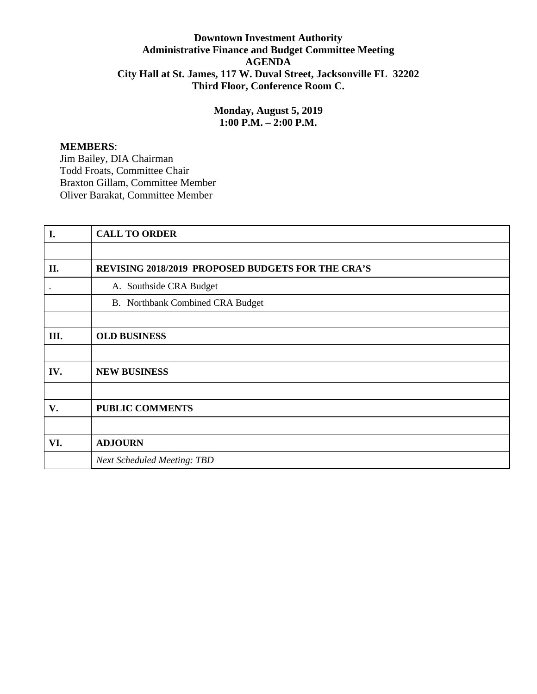## **Downtown Investment Authority Administrative Finance and Budget Committee Meeting AGENDA City Hall at St. James, 117 W. Duval Street, Jacksonville FL 32202 Third Floor, Conference Room C.**

**Monday, August 5, 2019 1:00 P.M. – 2:00 P.M.**

## **MEMBERS**:

Jim Bailey, DIA Chairman Todd Froats, Committee Chair Braxton Gillam, Committee Member Oliver Barakat, Committee Member

| I.        | <b>CALL TO ORDER</b>                              |
|-----------|---------------------------------------------------|
|           |                                                   |
| II.       | REVISING 2018/2019 PROPOSED BUDGETS FOR THE CRA'S |
| $\bullet$ | A. Southside CRA Budget                           |
|           | B. Northbank Combined CRA Budget                  |
|           |                                                   |
| Ш.        | <b>OLD BUSINESS</b>                               |
|           |                                                   |
| IV.       | <b>NEW BUSINESS</b>                               |
|           |                                                   |
| V.        | <b>PUBLIC COMMENTS</b>                            |
|           |                                                   |
| VI.       | <b>ADJOURN</b>                                    |
|           | <b>Next Scheduled Meeting: TBD</b>                |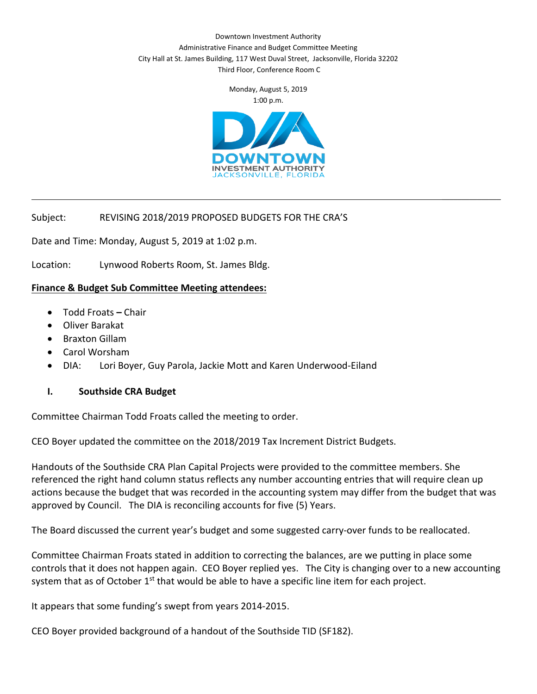Downtown Investment Authority Administrative Finance and Budget Committee Meeting City Hall at St. James Building, 117 West Duval Street, Jacksonville, Florida 32202 Third Floor, Conference Room C

> Monday, August 5, 2019 1:00 p.m.



 $\overline{\phantom{a}}$  , where  $\overline{\phantom{a}}$ 

## Subject: REVISING 2018/2019 PROPOSED BUDGETS FOR THE CRA'S

Date and Time: Monday, August 5, 2019 at 1:02 p.m.

Location: Lynwood Roberts Room, St. James Bldg.

#### **Finance & Budget Sub Committee Meeting attendees:**

- Todd Froats **–** Chair
- Oliver Barakat
- Braxton Gillam
- Carol Worsham
- DIA: Lori Boyer, Guy Parola, Jackie Mott and Karen Underwood-Eiland

#### **I. Southside CRA Budget**

Committee Chairman Todd Froats called the meeting to order.

CEO Boyer updated the committee on the 2018/2019 Tax Increment District Budgets.

Handouts of the Southside CRA Plan Capital Projects were provided to the committee members. She referenced the right hand column status reflects any number accounting entries that will require clean up actions because the budget that was recorded in the accounting system may differ from the budget that was approved by Council. The DIA is reconciling accounts for five (5) Years.

The Board discussed the current year's budget and some suggested carry-over funds to be reallocated.

Committee Chairman Froats stated in addition to correcting the balances, are we putting in place some controls that it does not happen again. CEO Boyer replied yes. The City is changing over to a new accounting system that as of October 1<sup>st</sup> that would be able to have a specific line item for each project.

It appears that some funding's swept from years 2014-2015.

CEO Boyer provided background of a handout of the Southside TID (SF182).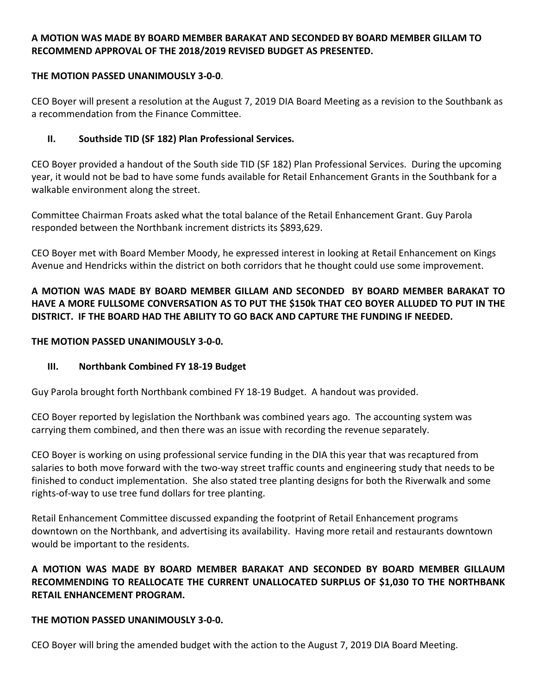## **A MOTION WAS MADE BY BOARD MEMBER BARAKAT AND SECONDED BY BOARD MEMBER GILLAM TO RECOMMEND APPROVAL OF THE 2018/2019 REVISED BUDGET AS PRESENTED.**

### **THE MOTION PASSED UNANIMOUSLY 3-0-0**.

CEO Boyer will present a resolution at the August 7, 2019 DIA Board Meeting as a revision to the Southbank as a recommendation from the Finance Committee.

## **II. Southside TID (SF 182) Plan Professional Services.**

CEO Boyer provided a handout of the South side TID (SF 182) Plan Professional Services. During the upcoming year, it would not be bad to have some funds available for Retail Enhancement Grants in the Southbank for a walkable environment along the street.

Committee Chairman Froats asked what the total balance of the Retail Enhancement Grant. Guy Parola responded between the Northbank increment districts its \$893,629.

CEO Boyer met with Board Member Moody, he expressed interest in looking at Retail Enhancement on Kings Avenue and Hendricks within the district on both corridors that he thought could use some improvement.

# **A MOTION WAS MADE BY BOARD MEMBER GILLAM AND SECONDED BY BOARD MEMBER BARAKAT TO HAVE A MORE FULLSOME CONVERSATION AS TO PUT THE \$150k THAT CEO BOYER ALLUDED TO PUT IN THE DISTRICT. IF THE BOARD HAD THE ABILITY TO GO BACK AND CAPTURE THE FUNDING IF NEEDED.**

### **THE MOTION PASSED UNANIMOUSLY 3-0-0.**

## **III. Northbank Combined FY 18-19 Budget**

Guy Parola brought forth Northbank combined FY 18-19 Budget. A handout was provided.

CEO Boyer reported by legislation the Northbank was combined years ago. The accounting system was carrying them combined, and then there was an issue with recording the revenue separately.

CEO Boyer is working on using professional service funding in the DIA this year that was recaptured from salaries to both move forward with the two-way street traffic counts and engineering study that needs to be finished to conduct implementation. She also stated tree planting designs for both the Riverwalk and some rights-of-way to use tree fund dollars for tree planting.

Retail Enhancement Committee discussed expanding the footprint of Retail Enhancement programs downtown on the Northbank, and advertising its availability. Having more retail and restaurants downtown would be important to the residents.

# **A MOTION WAS MADE BY BOARD MEMBER BARAKAT AND SECONDED BY BOARD MEMBER GILLAUM RECOMMENDING TO REALLOCATE THE CURRENT UNALLOCATED SURPLUS OF \$1,030 TO THE NORTHBANK RETAIL ENHANCEMENT PROGRAM.**

#### **THE MOTION PASSED UNANIMOUSLY 3-0-0.**

CEO Boyer will bring the amended budget with the action to the August 7, 2019 DIA Board Meeting.